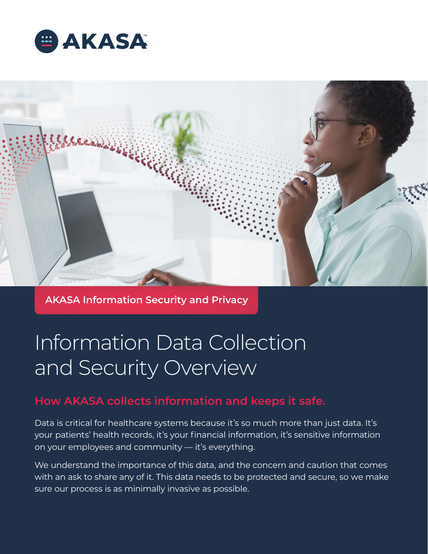



**AKASA Information Security and Privacy**

# Information Data Collection and Security Overview

# **How AKASA collects information and keeps it safe.**

Data is critical for healthcare systems because it's so much more than just data. It's your patients' health records, it's your financial information, it's sensitive information on your employees and community — it's everything.

We understand the importance of this data, and the concern and caution that comes with an ask to share any of it. This data needs to be protected and secure, so we make sure our process is as minimally invasive as possible.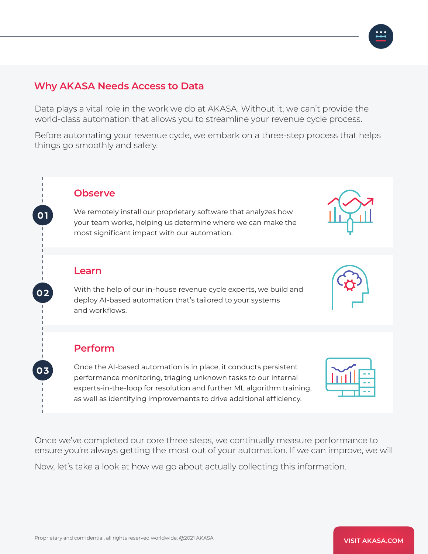#### **Why AKASA Needs Access to Data**

Data plays a vital role in the work we do at AKASA. Without it, we can't provide the world-class automation that allows you to streamline your revenue cycle process.

Before automating your revenue cycle, we embark on a three-step process that helps things go smoothly and safely.

#### **Observe**

We remotely install our proprietary software that analyzes how your team works, helping us determine where we can make the most significant impact with our automation.

#### **Learn**

**0 1**

**0 2**

**03**

With the help of our in-house revenue cycle experts, we build and deploy AI-based automation that's tailored to your systems and workflows.

#### **Perform**

Once the AI-based automation is in place, it conducts persistent performance monitoring, triaging unknown tasks to our internal experts-in-the-loop for resolution and further ML algorithm training, as well as identifying improvements to drive additional efficiency.

Once we've completed our core three steps, we continually measure performance to ensure you're always getting the most out of your automation. If we can improve, we will

Now, let's take a look at how we go about actually collecting this information.





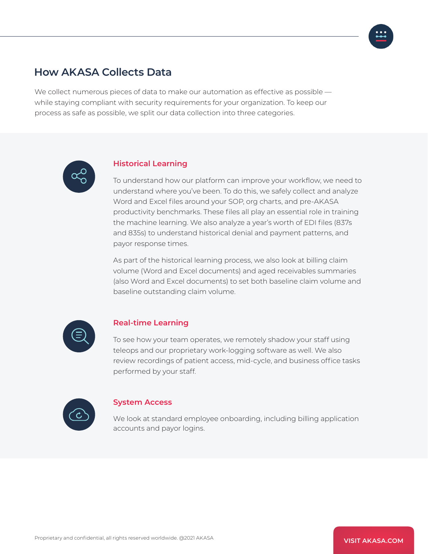## **How AKASA Collects Data**

We collect numerous pieces of data to make our automation as effective as possible while staying compliant with security requirements for your organization. To keep our process as safe as possible, we split our data collection into three categories.



#### **Historical Learning**

To understand how our platform can improve your workflow, we need to understand where you've been. To do this, we safely collect and analyze Word and Excel files around your SOP, org charts, and pre-AKASA productivity benchmarks. These files all play an essential role in training the machine learning. We also analyze a year's worth of EDI files (837s and 835s) to understand historical denial and payment patterns, and payor response times.

As part of the historical learning process, we also look at billing claim volume (Word and Excel documents) and aged receivables summaries (also Word and Excel documents) to set both baseline claim volume and baseline outstanding claim volume.



#### **Real-time Learning**

To see how your team operates, we remotely shadow your staff using teleops and our proprietary work-logging software as well. We also review recordings of patient access, mid-cycle, and business office tasks performed by your staff.



#### **System Access**

We look at standard employee onboarding, including billing application accounts and payor logins.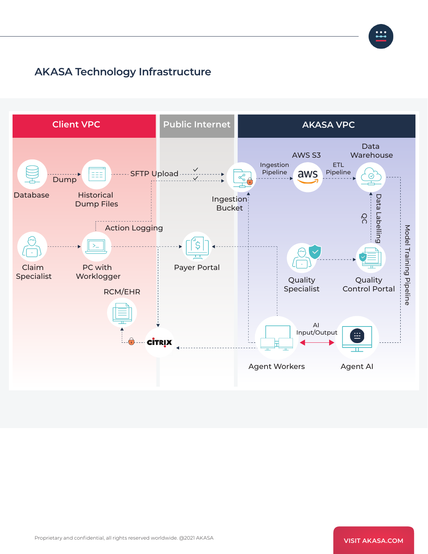

## **AKASA Technology Infrastructure**

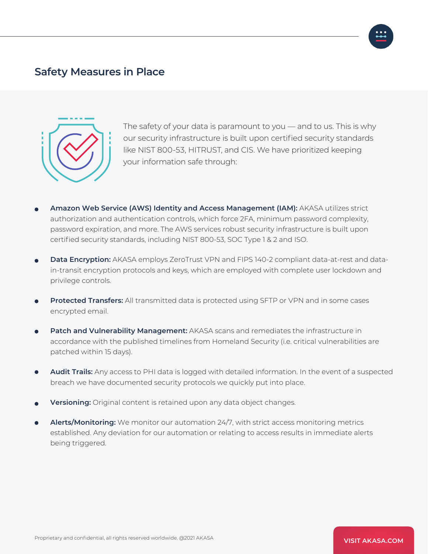#### **Safety Measures in Place**



The safety of your data is paramount to you — and to us. This is why our security infrastructure is built upon certified security standards like NIST 800-53, HITRUST, and CIS. We have prioritized keeping your information safe through:

- **Amazon Web Service (AWS) Identity and Access Management (IAM):** AKASA utilizes strict authorization and authentication controls, which force 2FA, minimum password complexity, password expiration, and more. The AWS services robust security infrastructure is built upon certified security standards, including NIST 800-53, SOC Type 1 & 2 and ISO.
- **Data Encryption:** AKASA employs ZeroTrust VPN and FIPS 140-2 compliant data-at-rest and datain-transit encryption protocols and keys, which are employed with complete user lockdown and privilege controls.
- **Protected Transfers:** All transmitted data is protected using SFTP or VPN and in some cases encrypted email.
- **Patch and Vulnerability Management:** AKASA scans and remediates the infrastructure in accordance with the published timelines from Homeland Security (i.e. critical vulnerabilities are patched within 15 days).
- **Audit Trails:** Any access to PHI data is logged with detailed information. In the event of a suspected breach we have documented security protocols we quickly put into place.
- **Versioning:** Original content is retained upon any data object changes.
- **Alerts/Monitoring:** We monitor our automation 24/7, with strict access monitoring metrics established. Any deviation for our automation or relating to access results in immediate alerts being triggered.